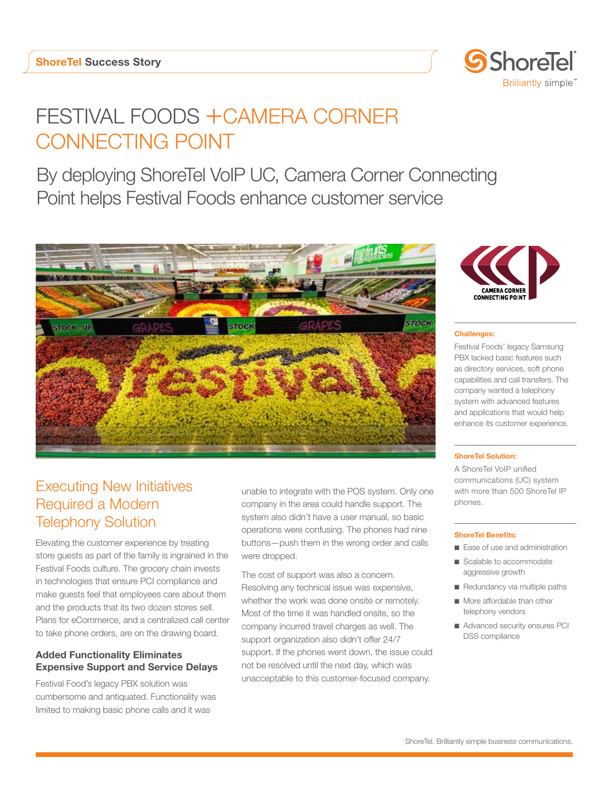

# FESTIVAL FOODS + CAMERA CORNER CONNECTING POINT

By deploying ShoreTel VoIP UC, Camera Corner Connecting Point helps Festival Foods enhance customer service



# Executing New Initiatives Required a Modern Telephony Solution

Elevating the customer experience by treating store guests as part of the family is ingrained in the Festival Foods culture. The grocery chain invests in technologies that ensure PCI compliance and make guests feel that employees care about them and the products that its two dozen stores sell. Plans for eCommerce, and a centralized call center to take phone orders, are on the drawing board.

# Added Functionality Eliminates Expensive Support and Service Delays

Festival Food's legacy PBX solution was cumbersome and antiquated. Functionality was limited to making basic phone calls and it was

unable to integrate with the POS system. Only one company in the area could handle support. The system also didn't have a user manual, so basic operations were confusing. The phones had nine buttons—push them in the wrong order and calls were dropped.

The cost of support was also a concern. Resolving any technical issue was expensive, whether the work was done onsite or remotely. Most of the time it was handled onsite, so the company incurred travel charges as well. The support organization also didn't offer 24/7 support. If the phones went down, the issue could not be resolved until the next day, which was unacceptable to this customer-focused company.



#### Challenges:

Festival Foods' legacy Samsung PBX lacked basic features such as directory services, soft phone capabilities and call transfers. The company wanted a telephony system with advanced features and applications that would help enhance its customer experience.

#### ShoreTel Solution:

A ShoreTel VoIP unified communications (UC) system with more than 500 ShoreTel IP phones.

#### ShoreTel Benefits:

- Ease of use and administration
- Scalable to accommodate aggressive growth
- Redundancy via multiple paths
- More affordable than other telephony vendors
- Advanced security ensures PCI DSS compliance